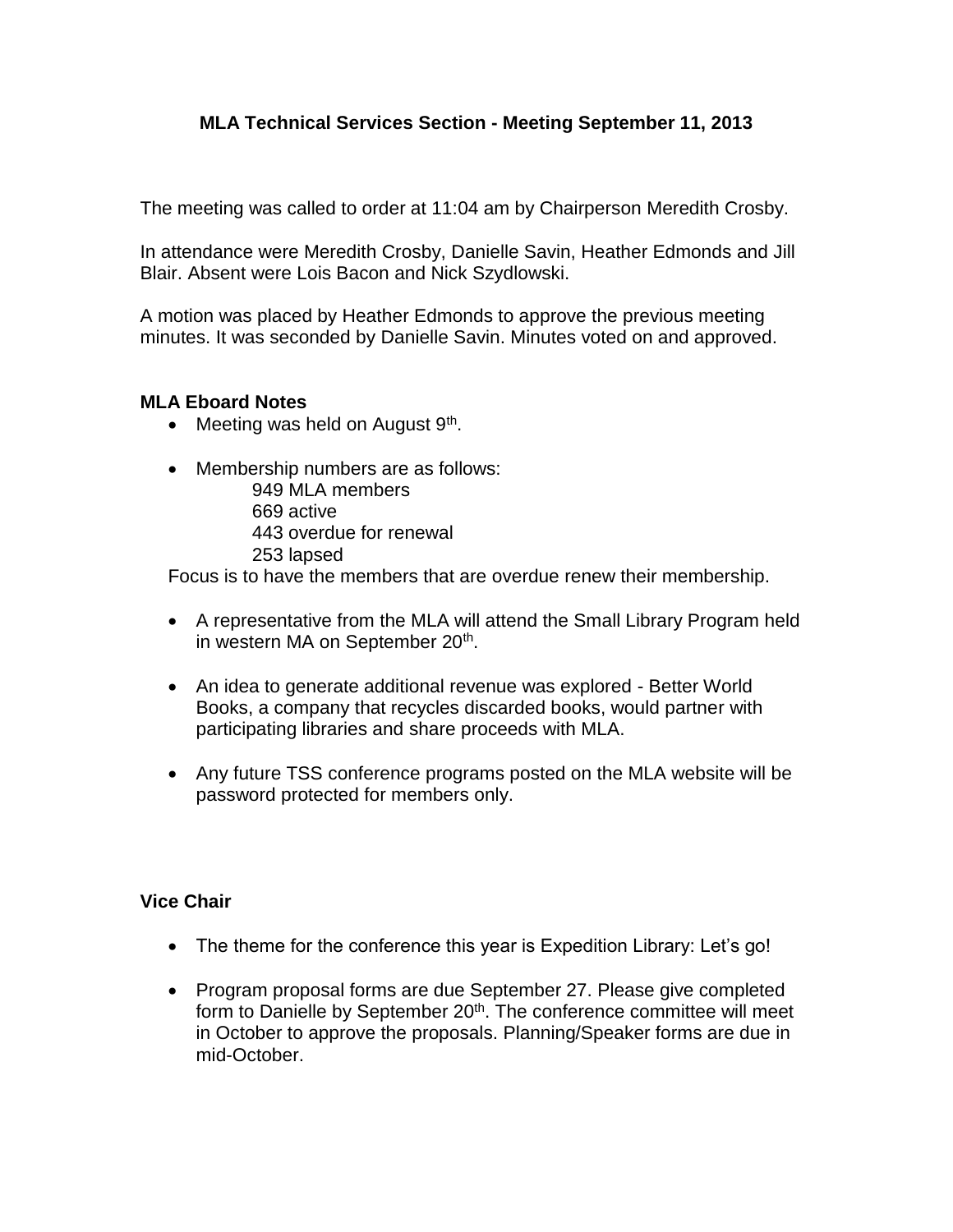## **MLA Technical Services Section - Meeting September 11, 2013**

The meeting was called to order at 11:04 am by Chairperson Meredith Crosby.

In attendance were Meredith Crosby, Danielle Savin, Heather Edmonds and Jill Blair. Absent were Lois Bacon and Nick Szydlowski.

A motion was placed by Heather Edmonds to approve the previous meeting minutes. It was seconded by Danielle Savin. Minutes voted on and approved.

## **MLA Eboard Notes**

- Meeting was held on August 9<sup>th</sup>.
- Membership numbers are as follows:
	- 949 MLA members
	- 669 active
	- 443 overdue for renewal
	- 253 lapsed

Focus is to have the members that are overdue renew their membership.

- A representative from the MLA will attend the Small Library Program held in western MA on September 20<sup>th</sup>.
- An idea to generate additional revenue was explored Better World Books, a company that recycles discarded books, would partner with participating libraries and share proceeds with MLA.
- Any future TSS conference programs posted on the MLA website will be password protected for members only.

## **Vice Chair**

- The theme for the conference this year is Expedition Library: Let's go!
- Program proposal forms are due September 27. Please give completed form to Danielle by September 20<sup>th</sup>. The conference committee will meet in October to approve the proposals. Planning/Speaker forms are due in mid-October.